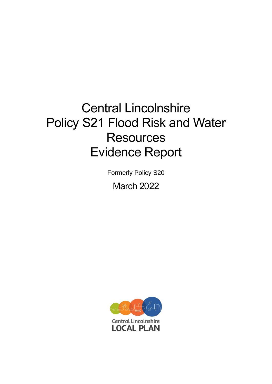# Central Lincolnshire Policy S21 Flood Risk and Water **Resources** Evidence Report

Formerly Policy S20 March 2022

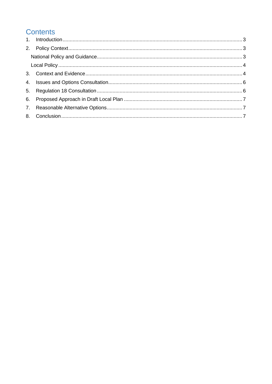# **Contents**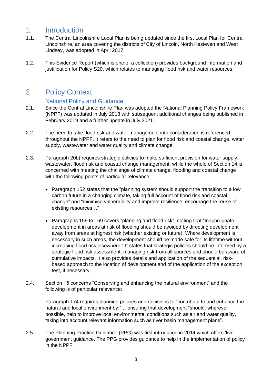# <span id="page-2-0"></span>1. Introduction

- 1.1. The Central Lincolnshire Local Plan is being updated since the first Local Plan for Central Lincolnshire, an area covering the districts of City of Lincoln, North Kesteven and West Lindsey, was adopted in April 2017.
- 1.2. This Evidence Report (which is one of a collection) provides background information and justification for Policy S20, which relates to managing flood risk and water resources.

# <span id="page-2-1"></span>2. Policy Context

### National Policy and Guidance

- <span id="page-2-2"></span>2.1. Since the Central Lincolnshire Plan was adopted the National Planning Policy Framework (NPPF) was updated in July 2018 with subsequent additional changes being published in February 2019 and a further update in July 2021.
- 2.2. The need to take flood risk and water management into consideration is referenced throughout the NPPF. It refers to the need to plan for flood risk and coastal change, water supply, wastewater and water quality and climate change.
- 2.3. Paragraph 20b) requires strategic policies to make sufficient provision for water supply, wastewater, flood risk and coastal change management, while the whole of Section 14 is concerned with meeting the challenge of climate change, flooding and coastal change with the following points of particular relevance:
	- Paragraph 152 states that the "planning system should support the transition to a low carbon future in a changing climate, taking full account of flood risk and coastal change" and "minimise vulnerability and improve resilience; encourage the reuse of existing resources…"
	- Paragraphs 159 to 169 covers "planning and flood risk", stating that "Inappropriate development in areas at risk of flooding should be avoided by directing development away from areas at highest risk (whether existing or future). Where development is necessary in such areas, the development should be made safe for its lifetime without increasing flood risk elsewhere." It states that strategic policies should be informed by a strategic flood risk assessment, managing risk from all sources and should be aware of cumulative impacts. It also provides details and application of the sequential, riskbased approach to the location of development and of the application of the exception test, if necessary.
- 2.4. Section 15 concerns "Conserving and enhancing the natural environment" and the following is of particular relevance:

Paragraph 174 requires planning policies and decisions to "contribute to and enhance the natural and local environment by:"… ensuring that development "should, wherever possible, help to improve local environmental conditions such as air and water quality, taking into account relevant information such as river basin management plans".

2.5. The Planning Practice Guidance (PPG) was first introduced in 2014 which offers 'live' government guidance. The PPG provides guidance to help in the implementation of policy in the NPPF.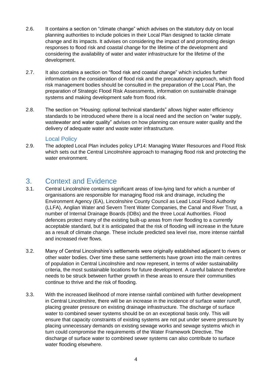- 2.6. It contains a section on "climate change" which advises on the statutory duty on local planning authorities to include policies in their Local Plan designed to tackle climate change and its impacts. It advises on considering the impact of and promoting design responses to flood risk and coastal change for the lifetime of the development and considering the availability of water and water infrastructure for the lifetime of the development.
- 2.7. It also contains a section on "flood risk and coastal change" which includes further information on the consideration of flood risk and the precautionary approach, which flood risk management bodies should be consulted in the preparation of the Local Plan, the preparation of Strategic Flood Risk Assessments, information on sustainable drainage systems and making development safe from flood risk.
- 2.8. The section on "Housing: optional technical standards" allows higher water efficiency standards to be introduced where there is a local need and the section on "water supply, wastewater and water quality" advises on how planning can ensure water quality and the delivery of adequate water and waste water infrastructure.

#### Local Policy

<span id="page-3-0"></span>2.9. The adopted Local Plan includes policy LP14: Managing Water Resources and Flood Risk which sets out the Central Lincolnshire approach to managing flood risk and protecting the water environment.

## <span id="page-3-1"></span>3. Context and Evidence

- 3.1. Central Lincolnshire contains significant areas of low-lying land for which a number of organisations are responsible for managing flood risk and drainage, including the Environment Agency (EA), Lincolnshire County Council as Lead Local Flood Authority (LLFA), Anglian Water and Severn Trent Water Companies, the Canal and River Trust, a number of Internal Drainage Boards (IDBs) and the three Local Authorities. Flood defences protect many of the existing built-up areas from river flooding to a currently acceptable standard, but it is anticipated that the risk of flooding will increase in the future as a result of climate change. These include predicted sea level rise, more intense rainfall and increased river flows.
- 3.2. Many of Central Lincolnshire's settlements were originally established adjacent to rivers or other water bodies. Over time these same settlements have grown into the main centres of population in Central Lincolnshire and now represent, in terms of wider sustainability criteria, the most sustainable locations for future development. A careful balance therefore needs to be struck between further growth in these areas to ensure their communities continue to thrive and the risk of flooding.
- 3.3. With the increased likelihood of more intense rainfall combined with further development in Central Lincolnshire, there will be an increase in the incidence of surface water runoff, placing greater pressure on existing drainage infrastructure. The discharge of surface water to combined sewer systems should be on an exceptional basis only. This will ensure that capacity constraints of existing systems are not put under severe pressure by placing unnecessary demands on existing sewage works and sewage systems which in turn could compromise the requirements of the Water Framework Directive. The discharge of surface water to combined sewer systems can also contribute to surface water flooding elsewhere.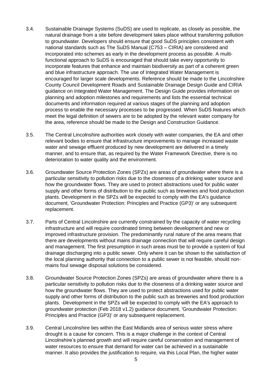- 3.4. Sustainable Drainage Systems (SuDS) are used to replicate, as closely as possible, the natural drainage from a site before development takes place without transferring pollution to groundwater. Developers should ensure that good SuDS principles consistent with national standards such as The SuDS Manual (C753 – CIRIA) are considered and incorporated into schemes as early in the development process as possible. A multifunctional approach to SuDS is encouraged that should take every opportunity to incorporate features that enhance and maintain biodiversity as part of a coherent green and blue infrastructure approach. The use of Integrated Water Management is encouraged for larger scale developments. Reference should be made to the Lincolnshire County Council Development Roads and Sustainable Drainage Design Guide and CIRIA guidance on Integrated Water Management. The Design Guide provides information on planning and adoption milestones and requirements and lists the essential technical documents and information required at various stages of the planning and adoption process to enable the necessary processes to be progressed. When SuDS features which meet the legal definition of sewers are to be adopted by the relevant water company for the area, reference should be made to the Design and Construction Guidance.
- 3.5. The Central Lincolnshire authorities work closely with water companies, the EA and other relevant bodies to ensure that infrastructure improvements to manage increased waste water and sewage effluent produced by new development are delivered in a timely manner, and to ensure that, as required by the Water Framework Directive, there is no deterioration to water quality and the environment.
- 3.6. Groundwater Source Protection Zones (SPZs) are areas of groundwater where there is a particular sensitivity to pollution risks due to the closeness of a drinking water source and how the groundwater flows. They are used to protect abstractions used for public water supply and other forms of distribution to the public such as breweries and food production plants. Development in the SPZs will be expected to comply with the EA's guidance document, 'Groundwater Protection: Principles and Practice (GP3)' or any subsequent replacement.
- 3.7. Parts of Central Lincolnshire are currently constrained by the capacity of water recycling infrastructure and will require coordinated timing between development and new or improved infrastructure provision. The predominantly rural nature of the area means that there are developments without mains drainage connection that will require careful design and management. The first presumption in such areas must be to provide a system of foul drainage discharging into a public sewer. Only where it can be shown to the satisfaction of the local planning authority that connection to a public sewer is not feasible, should nonmains foul sewage disposal solutions be considered.
- 3.8. Groundwater Source Protection Zones (SPZs) are areas of groundwater where there is a particular sensitivity to pollution risks due to the closeness of a drinking water source and how the groundwater flows. They are used to protect abstractions used for public water supply and other forms of distribution to the public such as breweries and food production plants. Development in the SPZs will be expected to comply with the EA's approach to groundwater protection (Feb 2018 v1.2) guidance document, 'Groundwater Protection: Principles and Practice (GP3)' or any subsequent replacement.
- 3.9. Central Lincolnshire lies within the East Midlands area of serious water stress where drought is a cause for concern. This is a major challenge in the context of Central Lincolnshire's planned growth and will require careful conservation and management of water resources to ensure that demand for water can be achieved in a sustainable manner. It also provides the justification to require, via this Local Plan, the higher water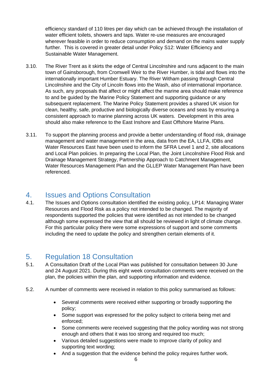efficiency standard of 110 litres per day which can be achieved through the installation of water efficient toilets, showers and taps. Water re-use measures are encouraged wherever feasible in order to reduce consumption and demand on the mains water supply further. This is covered in greater detail under Policy S12: Water Efficiency and Sustainable Water Management.

- 3.10. The River Trent as it skirts the edge of Central Lincolnshire and runs adjacent to the main town of Gainsborough, from Cromwell Weir to the River Humber, is tidal and flows into the internationally important Humber Estuary. The River Witham passing through Central Lincolnshire and the City of Lincoln flows into the Wash, also of international importance. As such, any proposals that affect or might affect the marine area should make reference to and be guided by the Marine Policy Statement and supporting guidance or any subsequent replacement. The Marine Policy Statement provides a shared UK vision for clean, healthy, safe, productive and biologically diverse oceans and seas by ensuring a consistent approach to marine planning across UK waters. Development in this area should also make reference to the East Inshore and East Offshore Marine Plans.
- 3.11. To support the planning process and provide a better understanding of flood risk, drainage management and water management in the area, data from the EA, LLFA, IDBs and Water Resources East have been used to inform the SFRA Level 1 and 2, site allocations and Local Plan policies. In preparing the Local Plan, the Joint Lincolnshire Flood Risk and Drainage Management Strategy, Partnership Approach to Catchment Management, Water Resources Management Plan and the GLLEP Water Management Plan have been referenced.

# <span id="page-5-0"></span>4. Issues and Options Consultation

4.1. The Issues and Options consultation identified the existing policy, LP14: Managing Water Resources and Flood Risk as a policy not intended to be changed. The majority of respondents supported the policies that were identified as not intended to be changed although some expressed the view that all should be reviewed in light of climate change. For this particular policy there were some expressions of support and some comments including the need to update the policy and strengthen certain elements of it.

# <span id="page-5-1"></span>5. Regulation 18 Consultation

- 5.1. A Consultation Draft of the Local Plan was published for consultation between 30 June and 24 August 2021. During this eight week consultation comments were received on the plan, the policies within the plan, and supporting information and evidence.
- 5.2. A number of comments were received in relation to this policy summarised as follows:
	- Several comments were received either supporting or broadly supporting the policy;
	- Some support was expressed for the policy subject to criteria being met and enforced;
	- Some comments were received suggesting that the policy wording was not strong enough and others that it was too strong and required too much;
	- Various detailed suggestions were made to improve clarity of policy and supporting text wording;
	- And a suggestion that the evidence behind the policy requires further work.